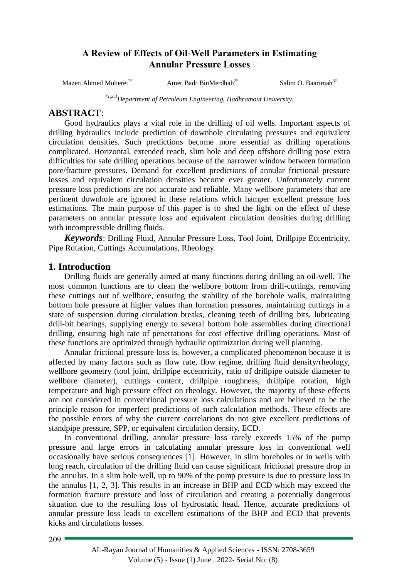# **A Review of Effects of Oil-Well Parameters in Estimating Annular Pressure Losses**

Mazen Ahmed Muherei<sup>1\*</sup>

Amer Badr BinMerdhah<sup>2\*</sup>

Salim O. Baarimah $3^*$ 

\**1,2,3Department of Petroleum Engineering, Hadhramout University,*

## **ABSTRACT**:

Good hydraulics plays a vital role in the drilling of oil wells. Important aspects of drilling hydraulics include prediction of downhole circulating pressures and equivalent circulation densities. Such predictions become more essential as drilling operations complicated. Horizontal, extended reach, slim hole and deep offshore drilling pose extra difficulties for safe drilling operations because of the narrower window between formation pore/fracture pressures. Demand for excellent predictions of annular frictional pressure losses and equivalent circulation densities become ever greater. Unfortunately current pressure loss predictions are not accurate and reliable. Many wellbore parameters that are pertinent downhole are ignored in these relations which hamper excellent pressure loss estimations. The main purpose of this paper is to shed the light on the effect of these parameters on annular pressure loss and equivalent circulation densities during drilling with incompressible drilling fluids.

*Keywords*: Drilling Fluid, Annular Pressure Loss, Tool Joint, Drillpipe Eccentricity, Pipe Rotation, Cuttings Accumulations, Rheology.

## **1. Introduction**

Drilling fluids are generally aimed at many functions during drilling an oil-well. The most common functions are to clean the wellbore bottom from drill-cuttings, removing these cuttings out of wellbore, ensuring the stability of the borehole walls, maintaining bottom hole pressure at higher values than formation pressures, maintaining cuttings in a state of suspension during circulation breaks, cleaning teeth of drilling bits, lubricating drill-bit bearings, supplying energy to several bottom hole assemblies during directional drilling, ensuring high rate of penetrations for cost effective drilling operations. Most of these functions are optimized through hydraulic optimization during well planning.

Annular frictional pressure loss is, however, a complicated phenomenon because it is affected by many factors such as flow rate, flow regime, drilling fluid density/rheology, wellbore geometry (tool joint, drillpipe eccentricity, ratio of drillpipe outside diameter to wellbore diameter), cuttings content, drillpipe roughness, drillpipe rotation, high temperature and high pressure effect on rheology. However, the majority of these effects are not considered in conventional pressure loss calculations and are believed to be the principle reason for imperfect predictions of such calculation methods. These effects are the possible errors of why the current correlations do not give excellent predictions of standpipe pressure, SPP, or equivalent circulation density, ECD.

In conventional drilling, annular pressure loss rarely exceeds 15% of the pump pressure and large errors in calculating annular pressure loss in conventional well occasionally have serious consequences [1]. However, in slim boreholes or in wells with long reach, circulation of the drilling fluid can cause significant frictional pressure drop in the annulus. In a slim hole well, up to 90% of the pump pressure is due to pressure loss in the annulus [1, 2, 3]. This results in an increase in BHP and ECD which may exceed the formation fracture pressure and loss of circulation and creating a potentially dangerous situation due to the resulting loss of hydrostatic head. Hence, accurate predictions of annular pressure loss leads to excellent estimations of the BHP and ECD that prevents kicks and circulations losses.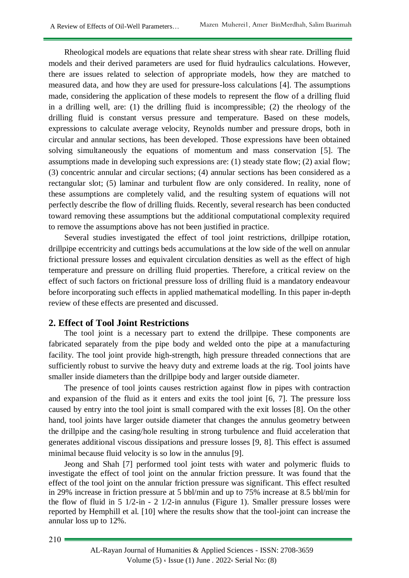Rheological models are equations that relate shear stress with shear rate. Drilling fluid models and their derived parameters are used for fluid hydraulics calculations. However, there are issues related to selection of appropriate models, how they are matched to measured data, and how they are used for pressure-loss calculations [4]. The assumptions made, considering the application of these models to represent the flow of a drilling fluid in a drilling well, are: (1) the drilling fluid is incompressible; (2) the rheology of the drilling fluid is constant versus pressure and temperature. Based on these models, expressions to calculate average velocity, Reynolds number and pressure drops, both in circular and annular sections, has been developed. Those expressions have been obtained solving simultaneously the equations of momentum and mass conservation [5]. The assumptions made in developing such expressions are: (1) steady state flow; (2) axial flow; (3) concentric annular and circular sections; (4) annular sections has been considered as a rectangular slot; (5) laminar and turbulent flow are only considered. In reality, none of these assumptions are completely valid, and the resulting system of equations will not perfectly describe the flow of drilling fluids. Recently, several research has been conducted toward removing these assumptions but the additional computational complexity required to remove the assumptions above has not been justified in practice.

Several studies investigated the effect of tool joint restrictions, drillpipe rotation, drillpipe eccentricity and cuttings beds accumulations at the low side of the well on annular frictional pressure losses and equivalent circulation densities as well as the effect of high temperature and pressure on drilling fluid properties. Therefore, a critical review on the effect of such factors on frictional pressure loss of drilling fluid is a mandatory endeavour before incorporating such effects in applied mathematical modelling. In this paper in-depth review of these effects are presented and discussed.

### **2. Effect of Tool Joint Restrictions**

The tool joint is a necessary part to extend the drillpipe. These components are fabricated separately from the pipe body and welded onto the pipe at a manufacturing facility. The tool joint provide high-strength, high pressure threaded connections that are sufficiently robust to survive the heavy duty and extreme loads at the rig. Tool joints have smaller inside diameters than the drillpipe body and larger outside diameter.

The presence of tool joints causes restriction against flow in pipes with contraction and expansion of the fluid as it enters and exits the tool joint [6, 7]. The pressure loss caused by entry into the tool joint is small compared with the exit losses [8]. On the other hand, tool joints have larger outside diameter that changes the annulus geometry between the drillpipe and the casing/hole resulting in strong turbulence and fluid acceleration that generates additional viscous dissipations and pressure losses [9, 8]. This effect is assumed minimal because fluid velocity is so low in the annulus [9].

Jeong and Shah [7] performed tool joint tests with water and polymeric fluids to investigate the effect of tool joint on the annular friction pressure. It was found that the effect of the tool joint on the annular friction pressure was significant. This effect resulted in 29% increase in friction pressure at 5 bbl/min and up to 75% increase at 8.5 bbl/min for the flow of fluid in 5 1/2-in - 2 1/2-in annulus (Figure 1). Smaller pressure losses were reported by Hemphill et al. [10] where the results show that the tool-joint can increase the annular loss up to 12%.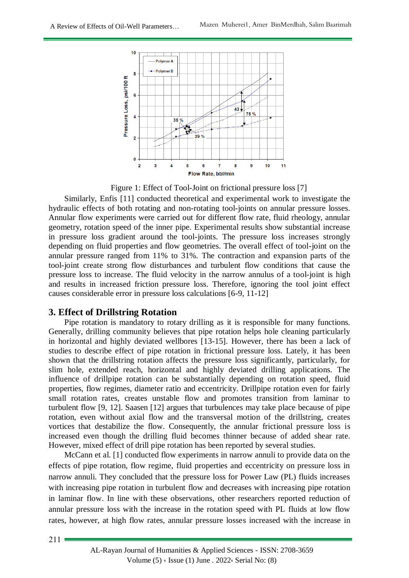

Figure 1: Effect of Tool-Joint on frictional pressure loss [7]

Similarly, Enfis [11] conducted theoretical and experimental work to investigate the hydraulic effects of both rotating and non-rotating tool-joints on annular pressure losses. Annular flow experiments were carried out for different flow rate, fluid rheology, annular geometry, rotation speed of the inner pipe. Experimental results show substantial increase in pressure loss gradient around the tool-joints. The pressure loss increases strongly depending on fluid properties and flow geometries. The overall effect of tool-joint on the annular pressure ranged from 11% to 31%. The contraction and expansion parts of the tool-joint create strong flow disturbances and turbulent flow conditions that cause the pressure loss to increase. The fluid velocity in the narrow annulus of a tool-joint is high and results in increased friction pressure loss. Therefore, ignoring the tool joint effect causes considerable error in pressure loss calculations [6-9, 11-12]

### **3. Effect of Drillstring Rotation**

Pipe rotation is mandatory to rotary drilling as it is responsible for many functions. Generally, drilling community believes that pipe rotation helps hole cleaning particularly in horizontal and highly deviated wellbores [13-15]. However, there has been a lack of studies to describe effect of pipe rotation in frictional pressure loss. Lately, it has been shown that the drillstring rotation affects the pressure loss significantly, particularly, for slim hole, extended reach, horizontal and highly deviated drilling applications. The influence of drillpipe rotation can be substantially depending on rotation speed, fluid properties, flow regimes, diameter ratio and eccentricity. Drillpipe rotation even for fairly small rotation rates, creates unstable flow and promotes transition from laminar to turbulent flow [9, 12]. Saasen [12] argues that turbulences may take place because of pipe rotation, even without axial flow and the transversal motion of the drillstring, creates vortices that destabilize the flow. Consequently, the annular frictional pressure loss is increased even though the drilling fluid becomes thinner because of added shear rate. However, mixed effect of drill pipe rotation has been reported by several studies.

McCann et al. [1] conducted flow experiments in narrow annuli to provide data on the effects of pipe rotation, flow regime, fluid properties and eccentricity on pressure loss in narrow annuli. They concluded that the pressure loss for Power Law (PL) fluids increases with increasing pipe rotation in turbulent flow and decreases with increasing pipe rotation in laminar flow. In line with these observations, other researchers reported reduction of annular pressure loss with the increase in the rotation speed with PL fluids at low flow rates, however, at high flow rates, annular pressure losses increased with the increase in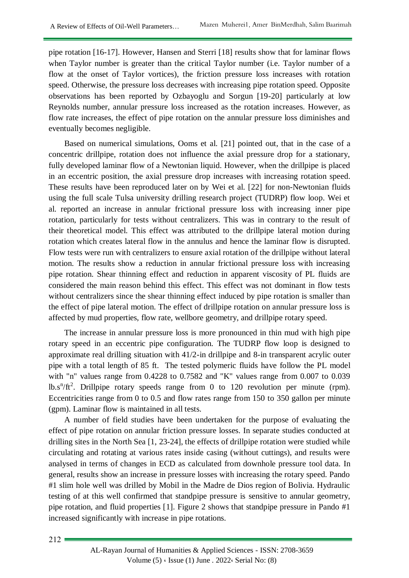pipe rotation [16-17]. However, Hansen and Sterri [18] results show that for laminar flows when Taylor number is greater than the critical Taylor number (i.e. Taylor number of a flow at the onset of Taylor vortices), the friction pressure loss increases with rotation speed. Otherwise, the pressure loss decreases with increasing pipe rotation speed. Opposite observations has been reported by Ozbayoglu and Sorgun [19-20] particularly at low Reynolds number, annular pressure loss increased as the rotation increases. However, as flow rate increases, the effect of pipe rotation on the annular pressure loss diminishes and eventually becomes negligible.

Based on numerical simulations, Ooms et al. [21] pointed out, that in the case of a concentric drillpipe, rotation does not influence the axial pressure drop for a stationary, fully developed laminar flow of a Newtonian liquid. However, when the drillpipe is placed in an eccentric position, the axial pressure drop increases with increasing rotation speed. These results have been reproduced later on by Wei et al. [22] for non-Newtonian fluids using the full scale Tulsa university drilling research project (TUDRP) flow loop. Wei et al. reported an increase in annular frictional pressure loss with increasing inner pipe rotation, particularly for tests without centralizers. This was in contrary to the result of their theoretical model. This effect was attributed to the drillpipe lateral motion during rotation which creates lateral flow in the annulus and hence the laminar flow is disrupted. Flow tests were run with centralizers to ensure axial rotation of the drillpipe without lateral motion. The results show a reduction in annular frictional pressure loss with increasing pipe rotation. Shear thinning effect and reduction in apparent viscosity of PL fluids are considered the main reason behind this effect. This effect was not dominant in flow tests without centralizers since the shear thinning effect induced by pipe rotation is smaller than the effect of pipe lateral motion. The effect of drillpipe rotation on annular pressure loss is affected by mud properties, flow rate, wellbore geometry, and drillpipe rotary speed.

The increase in annular pressure loss is more pronounced in thin mud with high pipe rotary speed in an eccentric pipe configuration. The TUDRP flow loop is designed to approximate real drilling situation with 41/2-in drillpipe and 8-in transparent acrylic outer pipe with a total length of 85 ft. The tested polymeric fluids have follow the PL model with "n" values range from 0.4228 to 0.7582 and "K" values range from 0.007 to 0.039 lb.s<sup>n</sup>/ft<sup>2</sup>. Drillpipe rotary speeds range from 0 to 120 revolution per minute (rpm). Eccentricities range from 0 to 0.5 and flow rates range from 150 to 350 gallon per minute (gpm). Laminar flow is maintained in all tests.

A number of field studies have been undertaken for the purpose of evaluating the effect of pipe rotation on annular friction pressure losses. In separate studies conducted at drilling sites in the North Sea [1, 23-24], the effects of drillpipe rotation were studied while circulating and rotating at various rates inside casing (without cuttings), and results were analysed in terms of changes in ECD as calculated from downhole pressure tool data. In general, results show an increase in pressure losses with increasing the rotary speed. Pando #1 slim hole well was drilled by Mobil in the Madre de Dios region of Bolivia. Hydraulic testing of at this well confirmed that standpipe pressure is sensitive to annular geometry, pipe rotation, and fluid properties [1]. Figure 2 shows that standpipe pressure in Pando #1 increased significantly with increase in pipe rotations.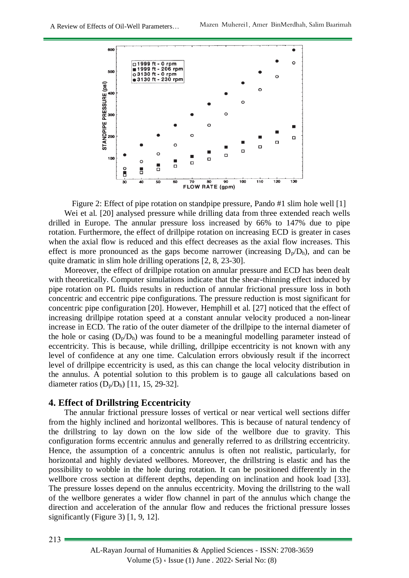

Figure 2: Effect of pipe rotation on standpipe pressure, Pando #1 slim hole well [1] Wei et al. [20] analysed pressure while drilling data from three extended reach wells drilled in Europe. The annular pressure loss increased by 66% to 147% due to pipe rotation. Furthermore, the effect of drillpipe rotation on increasing ECD is greater in cases when the axial flow is reduced and this effect decreases as the axial flow increases. This effect is more pronounced as the gaps become narrower (increasing  $D_p/D_b$ ), and can be quite dramatic in slim hole drilling operations [2, 8, 23-30].

Moreover, the effect of drillpipe rotation on annular pressure and ECD has been dealt with theoretically. Computer simulations indicate that the shear-thinning effect induced by pipe rotation on PL fluids results in reduction of annular frictional pressure loss in both concentric and eccentric pipe configurations. The pressure reduction is most significant for concentric pipe configuration [20]. However, Hemphill et al. [27] noticed that the effect of increasing drillpipe rotation speed at a constant annular velocity produced a non-linear increase in ECD. The ratio of the outer diameter of the drillpipe to the internal diameter of the hole or casing  $(D_p/D_h)$  was found to be a meaningful modelling parameter instead of eccentricity. This is because, while drilling, drillpipe eccentricity is not known with any level of confidence at any one time. Calculation errors obviously result if the incorrect level of drillpipe eccentricity is used, as this can change the local velocity distribution in the annulus. A potential solution to this problem is to gauge all calculations based on diameter ratios  $(D_p/D_h)$  [11, 15, 29-32].

#### **4. Effect of Drillstring Eccentricity**

The annular frictional pressure losses of vertical or near vertical well sections differ from the highly inclined and horizontal wellbores. This is because of natural tendency of the drillstring to lay down on the low side of the wellbore due to gravity. This configuration forms eccentric annulus and generally referred to as drillstring eccentricity. Hence, the assumption of a concentric annulus is often not realistic, particularly, for horizontal and highly deviated wellbores. Moreover, the drillstring is elastic and has the possibility to wobble in the hole during rotation. It can be positioned differently in the wellbore cross section at different depths, depending on inclination and hook load [33]. The pressure losses depend on the annulus eccentricity. Moving the drillstring to the wall of the wellbore generates a wider flow channel in part of the annulus which change the direction and acceleration of the annular flow and reduces the frictional pressure losses significantly (Figure 3) [1, 9, 12].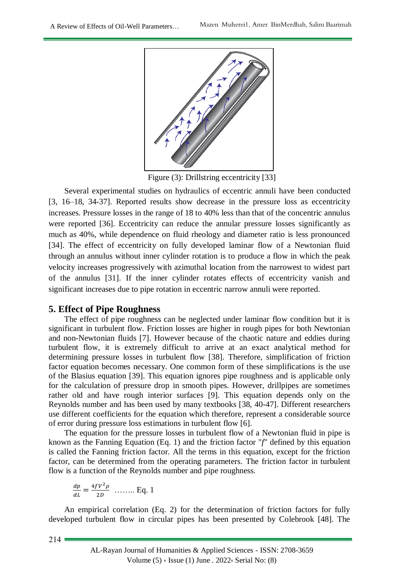

Figure (3): Drillstring eccentricity [33]

Several experimental studies on hydraulics of eccentric annuli have been conducted [3, 16–18, 34-37]. Reported results show decrease in the pressure loss as eccentricity increases. Pressure losses in the range of 18 to 40% less than that of the concentric annulus were reported [36]. Eccentricity can reduce the annular pressure losses significantly as much as 40%, while dependence on fluid rheology and diameter ratio is less pronounced [34]. The effect of eccentricity on fully developed laminar flow of a Newtonian fluid through an annulus without inner cylinder rotation is to produce a flow in which the peak velocity increases progressively with azimuthal location from the narrowest to widest part of the annulus [31]. If the inner cylinder rotates effects of eccentricity vanish and significant increases due to pipe rotation in eccentric narrow annuli were reported.

### **5. Effect of Pipe Roughness**

The effect of pipe roughness can be neglected under laminar flow condition but it is significant in turbulent flow. Friction losses are higher in rough pipes for both Newtonian and non-Newtonian fluids [7]. However because of the chaotic nature and eddies during turbulent flow, it is extremely difficult to arrive at an exact analytical method for determining pressure losses in turbulent flow [38]. Therefore, simplification of friction factor equation becomes necessary. One common form of these simplifications is the use of the Blasius equation [39]. This equation ignores pipe roughness and is applicable only for the calculation of pressure drop in smooth pipes. However, drillpipes are sometimes rather old and have rough interior surfaces [9]. This equation depends only on the Reynolds number and has been used by many textbooks [38, 40-47]. Different researchers use different coefficients for the equation which therefore, represent a considerable source of error during pressure loss estimations in turbulent flow [6].

The equation for the pressure losses in turbulent flow of a Newtonian fluid in pipe is known as the Fanning Equation (Eq. 1) and the friction factor "*f*" defined by this equation is called the Fanning friction factor. All the terms in this equation, except for the friction factor, can be determined from the operating parameters. The friction factor in turbulent flow is a function of the Reynolds number and pipe roughness.

$$
\frac{dp}{dL} = \frac{4fV^2\rho}{2D} \quad \dots \dots \dots \quad \text{Eq. 1}
$$

An empirical correlation (Eq. 2) for the determination of friction factors for fully developed turbulent flow in circular pipes has been presented by Colebrook [48]. The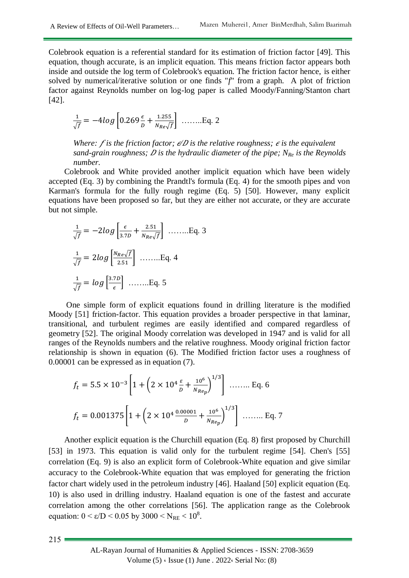Colebrook equation is a referential standard for its estimation of friction factor [49]. This equation, though accurate, is an implicit equation. This means friction factor appears both inside and outside the log term of Colebrook's equation. The friction factor hence, is either solved by numerical/iterative solution or one finds "*f*" from a graph. A plot of friction factor against Reynolds number on log-log paper is called Moody/Fanning/Stanton chart [42].

$$
\frac{1}{\sqrt{f}} = -4\log \left[ 0.269 \frac{\epsilon}{D} + \frac{1.255}{N_{Re}\sqrt{f}} \right] \dots \dots \dots Eq. 2
$$

*Where:*  $f$  *is the friction factor;*  $\epsilon/D$  *is the relative roughness;*  $\epsilon$  *is the equivalent sand-grain roughness; D is the hydraulic diameter of the pipe;*  $N_{Re}$  *is the Reynolds number.*

Colebrook and White provided another implicit equation which have been widely accepted (Eq. 3) by combining the Prandtl's formula (Eq. 4) for the smooth pipes and von Karman's formula for the fully rough regime (Eq. 5) [50]. However, many explicit equations have been proposed so far, but they are either not accurate, or they are accurate but not simple.

$$
\frac{1}{\sqrt{f}} = -2\log\left[\frac{\epsilon}{3.7D} + \frac{2.51}{N_{Re}\sqrt{f}}\right] \dots \dots \dots \text{Eq. 3}
$$

$$
\frac{1}{\sqrt{f}} = 2\log\left[\frac{N_{Re}\sqrt{f}}{2.51}\right] \dots \dots \dots \text{Eq. 4}
$$

$$
\frac{1}{\sqrt{f}} = \log\left[\frac{3.7D}{\epsilon}\right] \dots \dots \text{Eq. 5}
$$

One simple form of explicit equations found in drilling literature is the modified Moody [51] friction-factor. This equation provides a broader perspective in that laminar, transitional, and turbulent regimes are easily identified and compared regardless of geometry [52]. The original Moody correlation was developed in 1947 and is valid for all ranges of the Reynolds numbers and the relative roughness. Moody original friction factor relationship is shown in equation (6). The Modified friction factor uses a roughness of 0.00001 can be expressed as in equation (7).

$$
f_t = 5.5 \times 10^{-3} \left[ 1 + \left( 2 \times 10^4 \frac{\varepsilon}{D} + \frac{10^6}{N_{Re_p}} \right)^{1/3} \right] \dots \dots \text{ Eq. 6}
$$
  

$$
f_t = 0.001375 \left[ 1 + \left( 2 \times 10^4 \frac{0.00001}{D} + \frac{10^6}{N_{Re_p}} \right)^{1/3} \right] \dots \dots \text{ Eq. 7}
$$

Another explicit equation is the Churchill equation (Eq. 8) first proposed by Churchill [53] in 1973. This equation is valid only for the turbulent regime [54]. Chen's [55] correlation (Eq. 9) is also an explicit form of Colebrook-White equation and give similar accuracy to the Colebrook-White equation that was employed for generating the friction factor chart widely used in the petroleum industry [46]. Haaland [50] explicit equation (Eq. 10) is also used in drilling industry. Haaland equation is one of the fastest and accurate correlation among the other correlations [56]. The application range as the Colebrook equation:  $0 < \varepsilon/D < 0.05$  by  $3000 < N_{RE} < 10^8$ .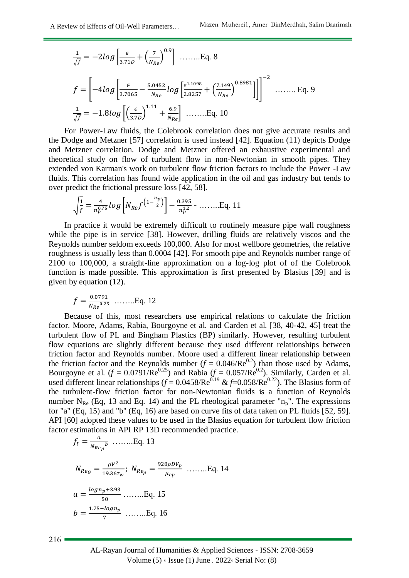$$
\frac{1}{\sqrt{f}} = -2\log\left[\frac{\epsilon}{3.71D} + \left(\frac{7}{N_{Re}}\right)^{0.9}\right] \dots \dots \text{Eq. 8}
$$
\n
$$
f = \left[ -4\log\left[\frac{\epsilon}{3.7065} - \frac{5.0452}{N_{Re}}\log\left[\frac{\epsilon^{1.1098}}{2.8257} + \left(\frac{7.149}{N_{Re}}\right)^{0.8981}\right] \right] \right]^{-2} \dots \dots \text{Eq. 9}
$$
\n
$$
\frac{1}{\sqrt{f}} = -1.8\log\left[\left(\frac{\epsilon}{3.7D}\right)^{1.11} + \frac{6.9}{N_{Re}}\right] \dots \dots \text{Eq. 10}
$$

For Power-Law fluids, the Colebrook correlation does not give accurate results and the Dodge and Metzner [57] correlation is used instead [42]. Equation (11) depicts Dodge and Metzner correlation. Dodge and Metzner offered an exhaustive experimental and theoretical study on flow of turbulent flow in non-Newtonian in smooth pipes. They extended von Karman's work on turbulent flow friction factors to include the Power -Law fluids. This correlation has found wide application in the oil and gas industry but tends to over predict the frictional pressure loss [42, 58].

$$
\sqrt{\frac{1}{f}} = \frac{4}{n_p^{0.75}} \log \left[ N_{Re} f \left( 1 - \frac{n_p}{2} \right) \right] - \frac{0.395}{n_p^{1.2}} - \dots \dots \dots \text{Eq. 11}
$$

In practice it would be extremely difficult to routinely measure pipe wall roughness while the pipe is in service [38]. However, drilling fluids are relatively viscos and the Reynolds number seldom exceeds 100,000. Also for most wellbore geometries, the relative roughness is usually less than 0.0004 [42]. For smooth pipe and Reynolds number range of 2100 to 100,000, a straight-line approximation on a log-log plot of of the Colebrook function is made possible. This approximation is first presented by Blasius [39] and is given by equation (12).

$$
f = \frac{0.0791}{N_{Re}^{0.25}} \dots \dots \dots \text{Eq. 12}
$$

Because of this, most researchers use empirical relations to calculate the friction factor. Moore, Adams, Rabia, Bourgoyne et al. and Carden et al. [38, 40-42, 45] treat the turbulent flow of PL and Bingham Plastics (BP) similarly. However, resulting turbulent flow equations are slightly different because they used different relationships between friction factor and Reynolds number. Moore used a different linear relationship between the friction factor and the Reynolds number  $(f = 0.046/Re^{0.2})$  than those used by Adams, Bourgoyne et al.  $(f = 0.0791/Re^{0.25})$  and Rabia  $(f = 0.057/Re^{0.2})$ . Similarly, Carden et al. used different linear relationships  $(f = 0.0458/Re^{0.19} \& f = 0.058/Re^{0.22})$ . The Blasius form of the turbulent-flow friction factor for non-Newtonian fluids is a function of Reynolds number  $N_{\text{Re}}$  (Eq, 13 and Eq. 14) and the PL rheological parameter " $n_p$ ". The expressions for "a" (Eq, 15) and "b" (Eq, 16) are based on curve fits of data taken on PL fluids [52, 59]. API [60] adopted these values to be used in the Blasius equation for turbulent flow friction factor estimations in API RP 13D recommended practice.

$$
f_t = \frac{a}{N_{Re_p}b} \quad \dots \dots \text{Eq. 13}
$$
\n
$$
N_{Re_G} = \frac{\rho V^2}{19.36\tau_w}; \quad N_{Re_p} = \frac{928\rho V_p}{\mu_{ep}} \quad \dots \dots \text{Eq. 14}
$$
\n
$$
a = \frac{\log n_p + 3.93}{50} \quad \dots \dots \text{Eq. 15}
$$
\n
$$
b = \frac{1.75 - \log n_p}{7} \quad \dots \dots \text{Eq. 16}
$$

AL-Rayan Journal of Humanities & Applied Sciences - ISSN: 2708-3659 Volume  $(5)$   $\cdot$  Issue  $(1)$  June . 2022 $\cdot$  Serial No:  $(8)$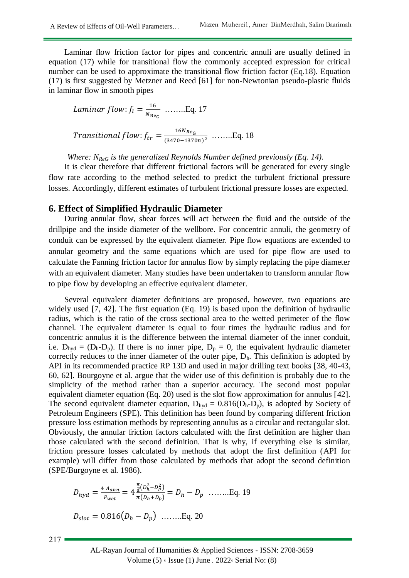Laminar flow friction factor for pipes and concentric annuli are usually defined in equation (17) while for transitional flow the commonly accepted expression for critical number can be used to approximate the transitional flow friction factor (Eq.18). Equation (17) is first suggested by Metzner and Reed [61] for non-Newtonian pseudo-plastic fluids in laminar flow in smooth pipes

Laminar flow: 
$$
f_l = \frac{16}{N_{\text{Re}_G}}
$$
 .......Eq. 17  
Translation *flow*:  $f_{tr} = \frac{16N_{\text{Re}_G}}{(3470 - 1370n)^2}$  .......Eq. 18

*Where: NReG is the generalized Reynolds Number defined previously (Eq. 14).*

It is clear therefore that different frictional factors will be generated for every single flow rate according to the method selected to predict the turbulent frictional pressure losses. Accordingly, different estimates of turbulent frictional pressure losses are expected.

#### **6. Effect of Simplified Hydraulic Diameter**

During annular flow, shear forces will act between the fluid and the outside of the drillpipe and the inside diameter of the wellbore. For concentric annuli, the geometry of conduit can be expressed by the equivalent diameter. Pipe flow equations are extended to annular geometry and the same equations which are used for pipe flow are used to calculate the Fanning friction factor for annulus flow by simply replacing the pipe diameter with an equivalent diameter. Many studies have been undertaken to transform annular flow to pipe flow by developing an effective equivalent diameter.

Several equivalent diameter definitions are proposed, however, two equations are widely used [7, 42]. The first equation (Eq. 19) is based upon the definition of hydraulic radius, which is the ratio of the cross sectional area to the wetted perimeter of the flow channel. The equivalent diameter is equal to four times the hydraulic radius and for concentric annulus it is the difference between the internal diameter of the inner conduit, i.e.  $D_{\text{hyd}} = (D_{\text{h}} - D_{\text{p}})$ . If there is no inner pipe,  $D_{\text{p}} = 0$ , the equivalent hydraulic diameter correctly reduces to the inner diameter of the outer pipe,  $D_h$ . This definition is adopted by API in its recommended practice RP 13D and used in major drilling text books [38, 40-43, 60, 62]. Bourgoyne et al. argue that the wider use of this definition is probably due to the simplicity of the method rather than a superior accuracy. The second most popular equivalent diameter equation (Eq. 20) used is the slot flow approximation for annulus [42]. The second equivalent diameter equation,  $D_{hyd} = 0.816(D_h-D_p)$ , is adopted by Society of Petroleum Engineers (SPE). This definition has been found by comparing different friction pressure loss estimation methods by representing annulus as a circular and rectangular slot. Obviously, the annular friction factors calculated with the first definition are higher than those calculated with the second definition. That is why, if everything else is similar, friction pressure losses calculated by methods that adopt the first definition (API for example) will differ from those calculated by methods that adopt the second definition (SPE/Burgoyne et al. 1986).

$$
D_{hyd} = \frac{4 A_{ann}}{P_{wet}} = 4 \frac{\frac{\pi}{d} (D_h^2 - D_p^2)}{\pi (D_h + D_p)} = D_h - D_p \quad \dots \dots \text{Eq. 19}
$$
  

$$
D_{slot} = 0.816 (D_h - D_p) \quad \dots \dots \text{Eq. 20}
$$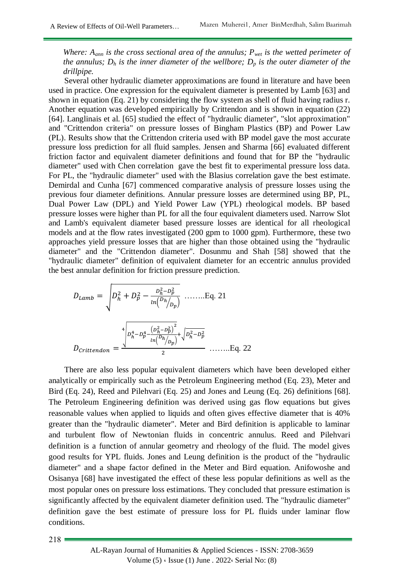*Where: Aann is the cross sectional area of the annulus; Pwet is the wetted perimeter of the annulus;*  $D_h$  *is the inner diameter of the wellbore;*  $D_p$  *is the outer diameter of the drillpipe.*

Several other hydraulic diameter approximations are found in literature and have been used in practice. One expression for the equivalent diameter is presented by Lamb [63] and shown in equation (Eq. 21) by considering the flow system as shell of fluid having radius r. Another equation was developed empirically by Crittendon and is shown in equation (22) [64]. Langlinais et al. [65] studied the effect of "hydraulic diameter", "slot approximation" and "Crittendon criteria" on pressure losses of Bingham Plastics (BP) and Power Law (PL). Results show that the Crittendon criteria used with BP model gave the most accurate pressure loss prediction for all fluid samples. Jensen and Sharma [66] evaluated different friction factor and equivalent diameter definitions and found that for BP the "hydraulic diameter" used with Chen correlation gave the best fit to experimental pressure loss data. For PL, the "hydraulic diameter" used with the Blasius correlation gave the best estimate. Demirdal and Cunha [67] commenced comparative analysis of pressure losses using the previous four diameter definitions. Annular pressure losses are determined using BP, PL, Dual Power Law (DPL) and Yield Power Law (YPL) rheological models. BP based pressure losses were higher than PL for all the four equivalent diameters used. Narrow Slot and Lamb's equivalent diameter based pressure losses are identical for all rheological models and at the flow rates investigated (200 gpm to 1000 gpm). Furthermore, these two approaches yield pressure losses that are higher than those obtained using the "hydraulic diameter" and the "Crittendon diameter". Dosunmu and Shah [58] showed that the "hydraulic diameter" definition of equivalent diameter for an eccentric annulus provided the best annular definition for friction pressure prediction.

$$
D_{Lamb} = \sqrt{D_h^2 + D_p^2 - \frac{D_h^2 - D_p^2}{\ln(D_h/p_p)}} \dots \dots \dots \text{Eq. 21}
$$
  

$$
D_{Critten don} = \frac{4 \left[ D_h^4 - D_p^4 - \frac{(D_h^2 - D_p^2)^2}{\ln(D_h/p_p)} + \sqrt{D_h^2 - D_p^2} \right]}{2} \dots \dots \dots \text{Eq. 22}
$$

There are also less popular equivalent diameters which have been developed either analytically or empirically such as the Petroleum Engineering method (Eq. 23), Meter and Bird (Eq. 24), Reed and Pilehvari (Eq. 25) and Jones and Leung (Eq. 26) definitions [68]. The Petroleum Engineering definition was derived using gas flow equations but gives reasonable values when applied to liquids and often gives effective diameter that is 40% greater than the "hydraulic diameter". Meter and Bird definition is applicable to laminar and turbulent flow of Newtonian fluids in concentric annulus. Reed and Pilehvari definition is a function of annular geometry and rheology of the fluid. The model gives good results for YPL fluids. Jones and Leung definition is the product of the "hydraulic diameter" and a shape factor defined in the Meter and Bird equation. Anifowoshe and Osisanya [68] have investigated the effect of these less popular definitions as well as the most popular ones on pressure loss estimations. They concluded that pressure estimation is significantly affected by the equivalent diameter definition used. The "hydraulic diameter" definition gave the best estimate of pressure loss for PL fluids under laminar flow conditions.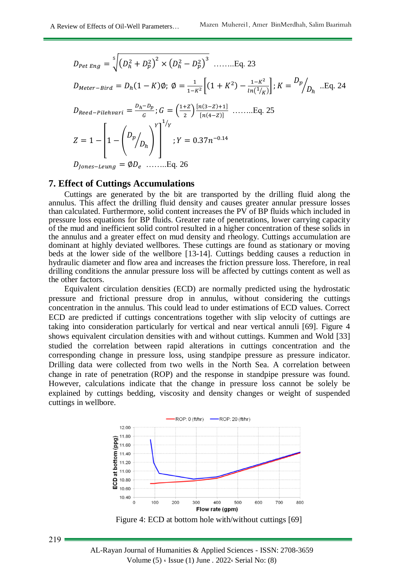$$
D_{Pet\,Eng} = \sqrt[5]{\left(D_h^2 + D_p^2\right)^2 \times \left(D_h^2 - D_p^2\right)^3} \quad \dots \dots \text{Eq. 23}
$$

$$
D_{Meter-Bird} = D_h (1 - K) \emptyset; \ \emptyset = \frac{1}{1 - K^2} \Big[ (1 + K^2) - \frac{1 - K^2}{\ln(1 / K)} \Big]; K = \frac{D_p}{D_h} \dots \text{Eq. 24}
$$
\n
$$
D_{Reed-Pilehvari} = \frac{D_h - D_p}{G}; G = \left(\frac{1 + Z}{2}\right) \frac{\left[n(3 - Z) + 1\right]}{\left[n(4 - Z)\right]} \dots \dots \text{Eq. 25}
$$
\n
$$
Z = 1 - \left[ 1 - \left(\frac{D_p}{D_h}\right)^Y \right]^{1/Y}; Y = 0.37n^{-0.14}
$$

 $D_{Jones-Leung} = \emptyset D_e$  ........Eq. 26

#### **7. Effect of Cuttings Accumulations**

Cuttings are generated by the bit are transported by the drilling fluid along the annulus. This affect the drilling fluid density and causes greater annular pressure losses than calculated. Furthermore, solid content increases the PV of BP fluids which included in pressure loss equations for BP fluids. Greater rate of penetrations, lower carrying capacity of the mud and inefficient solid control resulted in a higher concentration of these solids in the annulus and a greater effect on mud density and rheology. Cuttings accumulation are dominant at highly deviated wellbores. These cuttings are found as stationary or moving beds at the lower side of the wellbore [13-14]. Cuttings bedding causes a reduction in hydraulic diameter and flow area and increases the friction pressure loss. Therefore, in real drilling conditions the annular pressure loss will be affected by cuttings content as well as the other factors.

Equivalent circulation densities (ECD) are normally predicted using the hydrostatic pressure and frictional pressure drop in annulus, without considering the cuttings concentration in the annulus. This could lead to under estimations of ECD values. Correct ECD are predicted if cuttings concentrations together with slip velocity of cuttings are taking into consideration particularly for vertical and near vertical annuli [69]. Figure 4 shows equivalent circulation densities with and without cuttings. Kummen and Wold [33] studied the correlation between rapid alterations in cuttings concentration and the corresponding change in pressure loss, using standpipe pressure as pressure indicator. Drilling data were collected from two wells in the North Sea. A correlation between change in rate of penetration (ROP) and the response in standpipe pressure was found. However, calculations indicate that the change in pressure loss cannot be solely be explained by cuttings bedding, viscosity and density changes or weight of suspended cuttings in wellbore.



Figure 4: ECD at bottom hole with/without cuttings [69]

AL-Rayan Journal of Humanities & Applied Sciences - ISSN: 2708-3659 Volume  $(5)$   $\cdot$  Issue  $(1)$  June . 2022 $\cdot$  Serial No:  $(8)$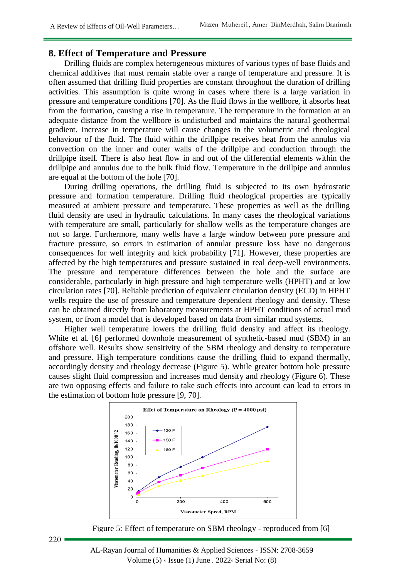### **8. Effect of Temperature and Pressure**

Drilling fluids are complex heterogeneous mixtures of various types of base fluids and chemical additives that must remain stable over a range of temperature and pressure. It is often assumed that drilling fluid properties are constant throughout the duration of drilling activities. This assumption is quite wrong in cases where there is a large variation in pressure and temperature conditions [70]. As the fluid flows in the wellbore, it absorbs heat from the formation, causing a rise in temperature. The temperature in the formation at an adequate distance from the wellbore is undisturbed and maintains the natural geothermal gradient. Increase in temperature will cause changes in the volumetric and rheological behaviour of the fluid. The fluid within the drillpipe receives heat from the annulus via convection on the inner and outer walls of the drillpipe and conduction through the drillpipe itself. There is also heat flow in and out of the differential elements within the drillpipe and annulus due to the bulk fluid flow. Temperature in the drillpipe and annulus are equal at the bottom of the hole [70].

During drilling operations, the drilling fluid is subjected to its own hydrostatic pressure and formation temperature. Drilling fluid rheological properties are typically measured at ambient pressure and temperature. These properties as well as the drilling fluid density are used in hydraulic calculations. In many cases the rheological variations with temperature are small, particularly for shallow wells as the temperature changes are not so large. Furthermore, many wells have a large window between pore pressure and fracture pressure, so errors in estimation of annular pressure loss have no dangerous consequences for well integrity and kick probability [71]. However, these properties are affected by the high temperatures and pressure sustained in real deep-well environments. The pressure and temperature differences between the hole and the surface are considerable, particularly in high pressure and high temperature wells (HPHT) and at low circulation rates [70]. Reliable prediction of equivalent circulation density (ECD) in HPHT wells require the use of pressure and temperature dependent rheology and density. These can be obtained directly from laboratory measurements at HPHT conditions of actual mud system, or from a model that is developed based on data from similar mud systems.

Higher well temperature lowers the drilling fluid density and affect its rheology. White et al. [6] performed downhole measurement of synthetic-based mud (SBM) in an offshore well. Results show sensitivity of the SBM rheology and density to temperature and pressure. High temperature conditions cause the drilling fluid to expand thermally, accordingly density and rheology decrease (Figure 5). While greater bottom hole pressure causes slight fluid compression and increases mud density and rheology (Figure 6). These are two opposing effects and failure to take such effects into account can lead to errors in the estimation of bottom hole pressure [9, 70].





AL-Rayan Journal of Humanities & Applied Sciences - ISSN: 2708-3659 Volume  $(5)$   $\cdot$  Issue  $(1)$  June . 2022 $\cdot$  Serial No:  $(8)$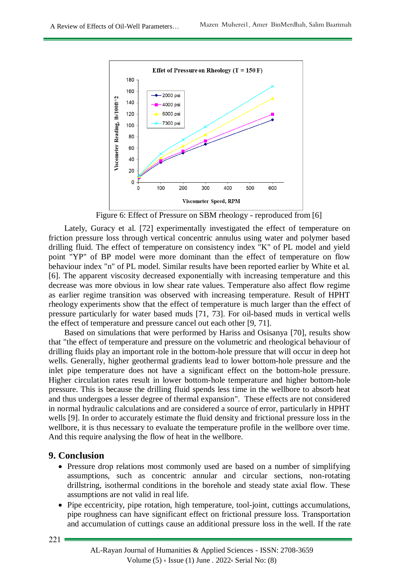

Figure 6: Effect of Pressure on SBM rheology - reproduced from [6]

Lately, Guracy et al. [72] experimentally investigated the effect of temperature on friction pressure loss through vertical concentric annulus using water and polymer based drilling fluid. The effect of temperature on consistency index "K" of PL model and yield point "YP" of BP model were more dominant than the effect of temperature on flow behaviour index "n" of PL model. Similar results have been reported earlier by White et al. [6]. The apparent viscosity decreased exponentially with increasing temperature and this decrease was more obvious in low shear rate values. Temperature also affect flow regime as earlier regime transition was observed with increasing temperature. Result of HPHT rheology experiments show that the effect of temperature is much larger than the effect of pressure particularly for water based muds [71, 73]. For oil-based muds in vertical wells the effect of temperature and pressure cancel out each other [9, 71].

Based on simulations that were performed by Hariss and Osisanya [70], results show that "the effect of temperature and pressure on the volumetric and rheological behaviour of drilling fluids play an important role in the bottom-hole pressure that will occur in deep hot wells. Generally, higher geothermal gradients lead to lower bottom-hole pressure and the inlet pipe temperature does not have a significant effect on the bottom-hole pressure. Higher circulation rates result in lower bottom-hole temperature and higher bottom-hole pressure. This is because the drilling fluid spends less time in the wellbore to absorb heat and thus undergoes a lesser degree of thermal expansion". These effects are not considered in normal hydraulic calculations and are considered a source of error, particularly in HPHT wells [9]. In order to accurately estimate the fluid density and frictional pressure loss in the wellbore, it is thus necessary to evaluate the temperature profile in the wellbore over time. And this require analysing the flow of heat in the wellbore.

### **9. Conclusion**

- Pressure drop relations most commonly used are based on a number of simplifying assumptions, such as concentric annular and circular sections, non-rotating drillstring, isothermal conditions in the borehole and steady state axial flow. These assumptions are not valid in real life.
- Pipe eccentricity, pipe rotation, high temperature, tool-joint, cuttings accumulations, pipe roughness can have significant effect on frictional pressure loss. Transportation and accumulation of cuttings cause an additional pressure loss in the well. If the rate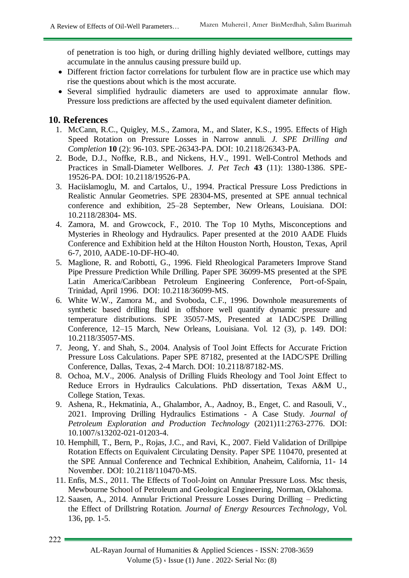of penetration is too high, or during drilling highly deviated wellbore, cuttings may accumulate in the annulus causing pressure build up.

- Different friction factor correlations for turbulent flow are in practice use which may rise the questions about which is the most accurate.
- Several simplified hydraulic diameters are used to approximate annular flow. Pressure loss predictions are affected by the used equivalent diameter definition.

## **10. References**

- 1. McCann, R.C., Quigley, M.S., Zamora, M., and Slater, K.S., 1995. Effects of High Speed Rotation on Pressure Losses in Narrow annuli. *J. SPE Drilling and Completion* **10** (2): 96-103. SPE-26343-PA. DOI: 10.2118/26343-PA.
- 2. Bode, D.J., Noffke, R.B., and Nickens, H.V., 1991. Well-Control Methods and Practices in Small-Diameter Wellbores. *J. Pet Tech* **43** (11): 1380-1386. SPE-19526-PA. DOI: 10.2118/19526-PA.
- 3. Haciislamoglu, M. and Cartalos, U., 1994. Practical Pressure Loss Predictions in Realistic Annular Geometries. SPE 28304-MS, presented at SPE annual technical conference and exhibition, 25–28 September, New Orleans, Louisiana. DOI: 10.2118/28304- MS.
- 4. Zamora, M. and Growcock, F., 2010. The Top 10 Myths, Misconceptions and Mysteries in Rheology and Hydraulics. Paper presented at the 2010 AADE Fluids Conference and Exhibition held at the Hilton Houston North, Houston, Texas, April 6-7, 2010, AADE-10-DF-HO-40.
- 5. Maglione, R. and Robotti, G., 1996. Field Rheological Parameters Improve Stand Pipe Pressure Prediction While Drilling. Paper SPE 36099-MS presented at the SPE Latin America/Caribbean Petroleum Engineering Conference, Port-of-Spain, Trinidad, April 1996. DOI: 10.2118/36099-MS.
- 6. White W.W., Zamora M., and Svoboda, C.F., 1996. Downhole measurements of synthetic based drilling fluid in offshore well quantify dynamic pressure and temperature distributions. SPE 35057-MS, Presented at IADC/SPE Drilling Conference, 12–15 March, New Orleans, Louisiana. Vol. 12 (3), p. 149. DOI: 10.2118/35057-MS.
- 7. Jeong, Y. and Shah, S., 2004. Analysis of Tool Joint Effects for Accurate Friction Pressure Loss Calculations. Paper SPE 87182, presented at the IADC/SPE Drilling Conference, Dallas, Texas, 2-4 March. DOI: 10.2118/87182-MS.
- 8. Ochoa, M.V., 2006. Analysis of Drilling Fluids Rheology and Tool Joint Effect to Reduce Errors in Hydraulics Calculations. PhD dissertation, Texas A&M U., College Station, Texas.
- 9. Ashena, R., Hekmatinia, A., Ghalambor, A., Aadnoy, B., Enget, C. and Rasouli, V., 2021. Improving Drilling Hydraulics Estimations - A Case Study. *Journal of Petroleum Exploration and Production Technology* (2021)11:2763-2776. DOI: 10.1007/s13202-021-01203-4.
- 10. Hemphill, T., Bern, P., Rojas, J.C., and Ravi, K., 2007. Field Validation of Drillpipe Rotation Effects on Equivalent Circulating Density. Paper SPE 110470, presented at the SPE Annual Conference and Technical Exhibition, Anaheim, California, 11- 14 November. DOI: 10.2118/110470-MS.
- 11. Enfis, M.S., 2011. The Effects of Tool-Joint on Annular Pressure Loss. Msc thesis, Mewbourne School of Petroleum and Geological Engineering, Norman, Oklahoma.
- 12. Saasen, A., 2014. Annular Frictional Pressure Losses During Drilling Predicting the Effect of Drillstring Rotation. *Journal of Energy Resources Technology*, Vol. 136, pp. 1-5.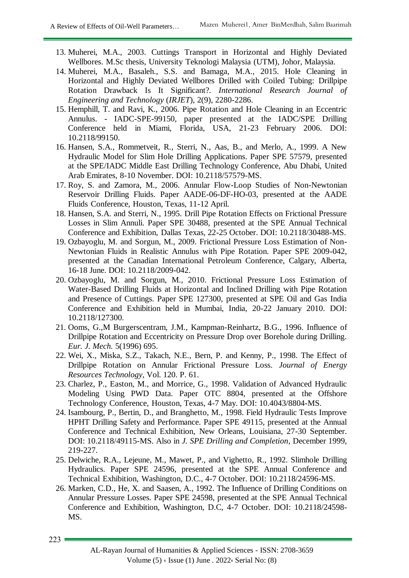- 13. Muherei, M.A., 2003. Cuttings Transport in Horizontal and Highly Deviated Wellbores. M.Sc thesis, University Teknologi Malaysia (UTM), Johor, Malaysia.
- 14. Muherei, M.A., Basaleh., S.S. and Bamaga, M.A., 2015. Hole Cleaning in Horizontal and Highly Deviated Wellbores Drilled with Coiled Tubing: Drillpipe Rotation Drawback Is It Significant?. *International Research Journal of Engineering and Technology* (*IRJET*), 2(9), 2280-2286.
- 15. Hemphill, T. and Ravi, K., 2006. Pipe Rotation and Hole Cleaning in an Eccentric Annulus. - IADC-SPE-99150, paper presented at the IADC/SPE Drilling Conference held in Miami, Florida, USA, 21-23 February 2006. DOI: 10.2118/99150.
- 16. Hansen, S.A., Rommetveit, R., Sterri, N., Aas, B., and Merlo, A., 1999. A New Hydraulic Model for Slim Hole Drilling Applications. Paper SPE 57579, presented at the SPE/IADC Middle East Drilling Technology Conference, Abu Dhabi, United Arab Emirates, 8-10 November. DOI: 10.2118/57579-MS.
- 17. Roy, S. and Zamora, M., 2006. Annular Flow-Loop Studies of Non-Newtonian Reservoir Drilling Fluids. Paper AADE-06-DF-HO-03, presented at the AADE Fluids Conference, Houston, Texas, 11-12 April.
- 18. Hansen, S.A. and Sterri, N., 1995. Drill Pipe Rotation Effects on Frictional Pressure Losses in Slim Annuli. Paper SPE 30488, presented at the SPE Annual Technical Conference and Exhibition, Dallas Texas, 22-25 October. DOI: 10.2118/30488-MS.
- 19. Ozbayoglu, M. and Sorgun, M., 2009. Frictional Pressure Loss Estimation of Non-Newtonian Fluids in Realistic Annulus with Pipe Rotation. Paper SPE 2009-042, presented at the Canadian International Petroleum Conference, Calgary, Alberta, 16-18 June. DOI: 10.2118/2009-042.
- 20. Ozbayoglu, M. and Sorgun, M., 2010. Frictional Pressure Loss Estimation of Water-Based Drilling Fluids at Horizontal and Inclined Drilling with Pipe Rotation and Presence of Cuttings. Paper SPE 127300, presented at SPE Oil and Gas India Conference and Exhibition held in Mumbai, India, 20-22 January 2010. DOI: 10.2118/127300.
- 21. Ooms, G.,M Burgerscentram, J.M., Kampman-Reinhartz, B.G., 1996. Influence of Drillpipe Rotation and Eccentricity on Pressure Drop over Borehole during Drilling. *Eur. J. Mech.* 5(1996) 695.
- 22. Wei, X., Miska, S.Z., Takach, N.E., Bern, P. and Kenny, P., 1998. The Effect of Drillpipe Rotation on Annular Frictional Pressure Loss. *Journal of Energy Resources Technology*, Vol. 120. P. 61.
- 23. Charlez, P., Easton, M., and Morrice, G., 1998. Validation of Advanced Hydraulic Modeling Using PWD Data. Paper OTC 8804, presented at the Offshore Technology Conference, Houston, Texas, 4-7 May. DOI: 10.4043/8804-MS.
- 24. Isambourg, P., Bertin, D., and Branghetto, M., 1998. Field Hydraulic Tests Improve HPHT Drilling Safety and Performance. Paper SPE 49115, presented at the Annual Conference and Technical Exhibition, New Orleans, Louisiana, 27-30 September. DOI: 10.2118/49115-MS. Also in *J. SPE Drilling and Completion*, December 1999, 219-227.
- 25. Delwiche, R.A., Lejeune, M., Mawet, P., and Vighetto, R., 1992. Slimhole Drilling Hydraulics. Paper SPE 24596, presented at the SPE Annual Conference and Technical Exhibition, Washington, D.C., 4-7 October. DOI: 10.2118/24596-MS.
- 26. Marken, C.D., He, X. and Saasen, A., 1992. The Influence of Drilling Conditions on Annular Pressure Losses. Paper SPE 24598, presented at the SPE Annual Technical Conference and Exhibition, Washington, D.C, 4-7 October. DOI: 10.2118/24598- MS.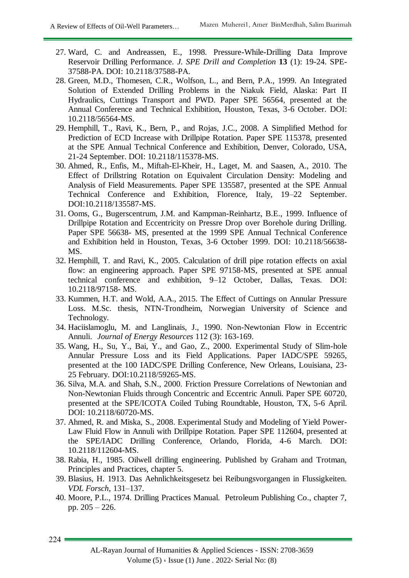- 27. Ward, C. and Andreassen, E., 1998. Pressure-While-Drilling Data Improve Reservoir Drilling Performance. *J. SPE Drill and Completion* **13** (1): 19-24. SPE-37588-PA. DOI: 10.2118/37588-PA.
- 28. Green, M.D., Thomesen, C.R., Wolfson, L., and Bern, P.A., 1999. An Integrated Solution of Extended Drilling Problems in the Niakuk Field, Alaska: Part II Hydraulics, Cuttings Transport and PWD. Paper SPE 56564, presented at the Annual Conference and Technical Exhibition, Houston, Texas, 3-6 October. DOI: 10.2118/56564-MS.
- 29. Hemphill, T., Ravi, K., Bern, P., and Rojas, J.C., 2008. A Simplified Method for Prediction of ECD Increase with Drillpipe Rotation. Paper SPE 115378, presented at the SPE Annual Technical Conference and Exhibition, Denver, Colorado, USA, 21-24 September. DOI: 10.2118/115378-MS.
- 30. Ahmed, R., Enfis, M., Miftah-El-Kheir, H., Laget, M. and Saasen, A., 2010. The Effect of Drillstring Rotation on Equivalent Circulation Density: Modeling and Analysis of Field Measurements. Paper SPE 135587, presented at the SPE Annual Technical Conference and Exhibition, Florence, Italy, 19–22 September. DOI:10.2118/135587-MS.
- 31. Ooms, G., Bugerscentrum, J.M. and Kampman-Reinhartz, B.E., 1999. Influence of Drillpipe Rotation and Eccentricity on Pressre Drop over Borehole during Drilling. Paper SPE 56638- MS, presented at the 1999 SPE Annual Technical Conference and Exhibition held in Houston, Texas, 3-6 October 1999. DOI: 10.2118/56638- MS.
- 32. Hemphill, T. and Ravi, K., 2005. Calculation of drill pipe rotation effects on axial flow: an engineering approach. Paper SPE 97158-MS, presented at SPE annual technical conference and exhibition, 9–12 October, Dallas, Texas. DOI: 10.2118/97158- MS.
- 33. Kummen, H.T. and Wold, A.A., 2015. The Effect of Cuttings on Annular Pressure Loss. M.Sc. thesis, NTN-Trondheim, Norwegian University of Science and Technology.
- 34. Haciislamoglu, M. and Langlinais, J., 1990. Non-Newtonian Flow in Eccentric Annuli. *Journal of Energy Resources* 112 (3): 163-169.
- 35. Wang, H., Su, Y., Bai, Y., and Gao, Z., 2000. Experimental Study of Slim-hole Annular Pressure Loss and its Field Applications. Paper IADC/SPE 59265, presented at the 100 IADC/SPE Drilling Conference, New Orleans, Louisiana, 23- 25 February. DOI:10.2118/59265-MS.
- 36. Silva, M.A. and Shah, S.N., 2000. Friction Pressure Correlations of Newtonian and Non-Newtonian Fluids through Concentric and Eccentric Annuli. Paper SPE 60720, presented at the SPE/ICOTA Coiled Tubing Roundtable, Houston, TX, 5-6 April. DOI: 10.2118/60720-MS.
- 37. Ahmed, R. and Miska, S., 2008. Experimental Study and Modeling of Yield Power-Law Fluid Flow in Annuli with Drillpipe Rotation. Paper SPE 112604, presented at the SPE/IADC Drilling Conference, Orlando, Florida, 4-6 March. DOI: 10.2118/112604-MS.
- 38. Rabia, H., 1985. Oilwell drilling engineering. Published by Graham and Trotman, Principles and Practices, chapter 5.
- 39. Blasius, H. 1913. Das Aehnlichkeitsgesetz bei Reibungsvorgangen in Flussigkeiten. *VDL Forsch*, 131–137.
- 40. Moore, P.L., 1974. Drilling Practices Manual. Petroleum Publishing Co., chapter 7, pp. 205 – 226.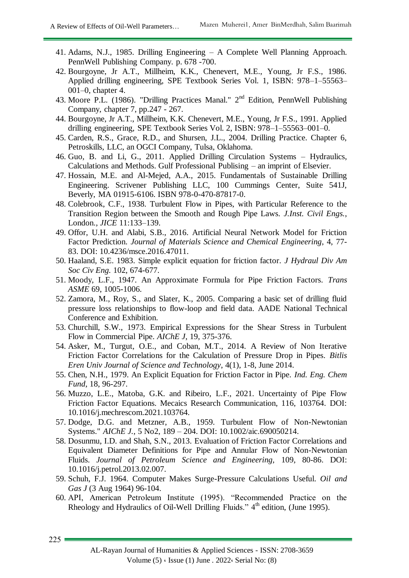- 41. Adams, N.J., 1985. Drilling Engineering A Complete Well Planning Approach. PennWell Publishing Company. p. 678 -700.
- 42. Bourgoyne, Jr A.T., Millheim, K.K., Chenevert, M.E., Young, Jr F.S., 1986. Applied drilling engineering, SPE Textbook Series Vol. 1, ISBN: 978–1–55563– 001–0, chapter 4.
- 43. Moore P.L. (1986). "Drilling Practices Manal." 2<sup>nd</sup> Edition, PennWell Publishing Company, chapter 7, pp.247 - 267.
- 44. Bourgoyne, Jr A.T., Millheim, K.K. Chenevert, M.E., Young, Jr F.S., 1991. Applied drilling engineering, SPE Textbook Series Vol. 2, ISBN: 978–1–55563–001–0.
- 45. Carden, R.S., Grace, R.D., and Shursen, J.L., 2004. Drilling Practice. Chapter 6, Petroskills, LLC, an OGCI Company, Tulsa, Oklahoma.
- 46. Guo, B. and Li, G., 2011. Applied Drilling Circulation Systems Hydraulics, Calculations and Methods. Gulf Professional Publising – an imprint of Elsevier.
- 47. Hossain, M.E. and Al-Mejed, A.A., 2015. Fundamentals of Sustainable Drilling Engineering. Scrivener Publishing LLC, 100 Cummings Center, Suite 541J, Beverly, MA 01915-6106. ISBN 978-0-470-87817-0.
- 48. Colebrook, C.F., 1938. Turbulent Flow in Pipes, with Particular Reference to the Transition Region between the Smooth and Rough Pipe Laws. *J.Inst. Civil Engs.*, London.*, JICE* 11:133–139.
- 49. Offor, U.H. and Alabi, S.B., 2016. Artificial Neural Network Model for Friction Factor Prediction. *Journal of Materials Science and Chemical Engineering*, 4, 77- 83. DOI: 10.4236/msce.2016.47011.
- 50. Haaland, S.E. 1983. Simple explicit equation for friction factor. *J Hydraul Div Am Soc Civ Eng.* 102, 674-677.
- 51. Moody, L.F., 1947. An Approximate Formula for Pipe Friction Factors. *Trans ASME* 69, 1005-1006.
- 52. Zamora, M., Roy, S., and Slater, K., 2005. Comparing a basic set of drilling fluid pressure loss relationships to flow-loop and field data. AADE National Technical Conference and Exhibition.
- 53. Churchill, S.W., 1973. Empirical Expressions for the Shear Stress in Turbulent Flow in Commercial Pipe. *AIChE J*, 19, 375-376.
- 54. Asker, M., Turgut, O.E., and Coban, M.T., 2014. A Review of Non Iterative Friction Factor Correlations for the Calculation of Pressure Drop in Pipes. *Bitlis Eren Univ Journal of Science and Technology*, 4(1), 1-8, June 2014.
- 55. Chen, N.H., 1979. An Explicit Equation for Friction Factor in Pipe. *Ind. Eng. Chem Fund*, 18, 96-297.
- 56. Muzzo, L.E., Matoba, G.K. and Ribeiro, L.F., 2021. Uncertainty of Pipe Flow Friction Factor Equations. Mecaics Research Communication, 116, 103764. DOI: 10.1016/j.mechrescom.2021.103764.
- 57. Dodge, D.G. and Metzner, A.B., 1959. Turbulent Flow of Non-Newtonian Systems." *AIChE J.*, 5 No2, 189 – 204. DOI: 10.1002/aic.690050214.
- 58. Dosunmu, I.D. and Shah, S.N., 2013. Evaluation of Friction Factor Correlations and Equivalent Diameter Definitions for Pipe and Annular Flow of Non-Newtonian Fluids. *Journal of Petroleum Science and Engineering,* 109, 80-86. DOI: 10.1016/j.petrol.2013.02.007.
- 59. Schuh, F.J. 1964. Computer Makes Surge-Pressure Calculations Useful. *Oil and Gas J* (3 Aug 1964) 96-104.
- 60. API, American Petroleum Institute (1995). "Recommended Practice on the Rheology and Hydraulics of Oil-Well Drilling Fluids."  $4<sup>th</sup>$  edition, (June 1995).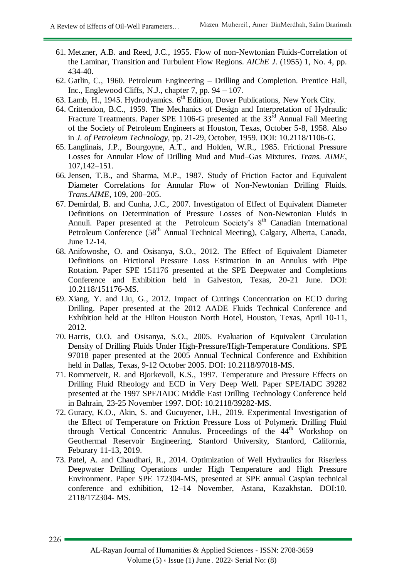- 61. Metzner, A.B. and Reed, J.C., 1955. Flow of non-Newtonian Fluids-Correlation of the Laminar, Transition and Turbulent Flow Regions. *AIChE J*. (1955) 1, No. 4, pp. 434-40.
- 62. Gatlin, C., 1960. Petroleum Engineering Drilling and Completion. Prentice Hall, Inc., Englewood Cliffs, N.J., chapter 7, pp. 94 – 107.
- 63. Lamb, H., 1945. Hydrodyamics. 6<sup>th</sup> Edition, Dover Publications, New York City.
- 64. Crittendon, B.C., 1959. The Mechanics of Design and Interpretation of Hydraulic Fracture Treatments. Paper SPE 1106-G presented at the 33<sup>rd</sup> Annual Fall Meeting of the Society of Petroleum Engineers at Houston, Texas, October 5-8, 1958. Also in *J. of Petroleum Technology*, pp. 21-29, October, 1959. DOI: 10.2118/1106-G.
- 65. Langlinais, J.P., Bourgoyne, A.T., and Holden, W.R., 1985. Frictional Pressure Losses for Annular Flow of Drilling Mud and Mud–Gas Mixtures. *Trans. AIME*, 107,142–151.
- 66. Jensen, T.B., and Sharma, M.P., 1987. Study of Friction Factor and Equivalent Diameter Correlations for Annular Flow of Non-Newtonian Drilling Fluids. *Trans.AIME*, 109, 200–205.
- 67. Demirdal, B. and Cunha, J.C., 2007. Investigaton of Effect of Equivalent Diameter Definitions on Determination of Pressure Losses of Non-Newtonian Fluids in Annuli. Paper presented at the Petroleum Society's  $8<sup>th</sup>$  Canadian International Petroleum Conference (58<sup>th</sup> Annual Technical Meeting), Calgary, Alberta, Canada, June 12-14.
- 68. Anifowoshe, O. and Osisanya, S.O., 2012. The Effect of Equivalent Diameter Definitions on Frictional Pressure Loss Estimation in an Annulus with Pipe Rotation. Paper SPE 151176 presented at the SPE Deepwater and Completions Conference and Exhibition held in Galveston, Texas, 20-21 June. DOI: 10.2118/151176-MS.
- 69. Xiang, Y. and Liu, G., 2012. Impact of Cuttings Concentration on ECD during Drilling. Paper presented at the 2012 AADE Fluids Technical Conference and Exhibition held at the Hilton Houston North Hotel, Houston, Texas, April 10-11, 2012.
- 70. Harris, O.O. and Osisanya, S.O., 2005. Evaluation of Equivalent Circulation Density of Drilling Fluids Under High-Pressure/High-Temperature Conditions. SPE 97018 paper presented at the 2005 Annual Technical Conference and Exhibition held in Dallas, Texas, 9-12 October 2005. DOI: 10.2118/97018-MS.
- 71. Rommetveit, R. and Bjorkevoll, K.S., 1997. Temperature and Pressure Effects on Drilling Fluid Rheology and ECD in Very Deep Well. Paper SPE/IADC 39282 presented at the 1997 SPE/IADC Middle East Drilling Technology Conference held in Bahrain, 23-25 November 1997. DOI: 10.2118/39282-MS.
- 72. Guracy, K.O., Akin, S. and Gucuyener, I.H., 2019. Experimental Investigation of the Effect of Temperature on Friction Pressure Loss of Polymeric Drilling Fluid through Vertical Concentric Annulus. Proceedings of the  $44<sup>th</sup>$  Workshop on Geothermal Reservoir Engineering, Stanford University, Stanford, California, Feburary 11-13, 2019.
- 73. Patel, A. and Chaudhari, R., 2014. Optimization of Well Hydraulics for Riserless Deepwater Drilling Operations under High Temperature and High Pressure Environment. Paper SPE 172304-MS, presented at SPE annual Caspian technical conference and exhibition, 12–14 November, Astana, Kazakhstan. DOI:10. 2118/172304- MS.

AL-Rayan Journal of Humanities & Applied Sciences - ISSN: 2708-3659 Volume  $(5)$   $\cdot$  Issue  $(1)$  June . 2022 $\cdot$  Serial No:  $(8)$